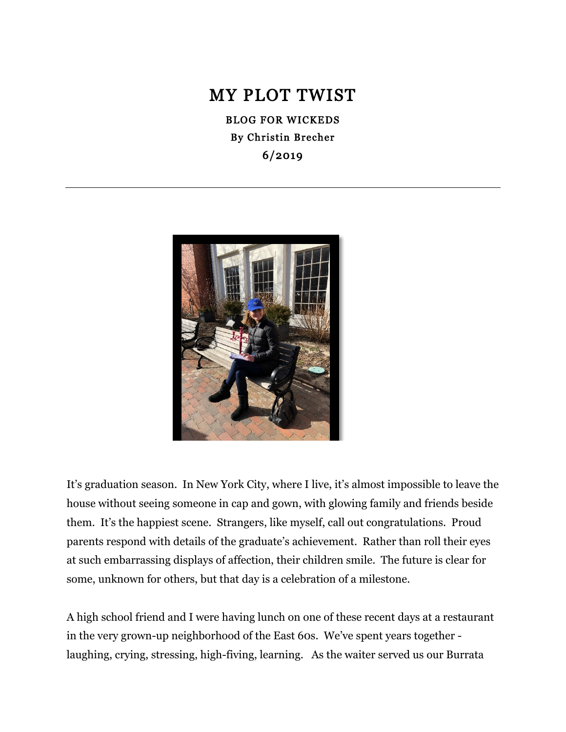# MY PLOT TWIST

BLOG FOR WICKEDS By Christin Brecher 6/2019



It's graduation season. In New York City, where I live, it's almost impossible to leave the house without seeing someone in cap and gown, with glowing family and friends beside them. It's the happiest scene. Strangers, like myself, call out congratulations. Proud parents respond with details of the graduate's achievement. Rather than roll their eyes at such embarrassing displays of affection, their children smile. The future is clear for some, unknown for others, but that day is a celebration of a milestone.

A high school friend and I were having lunch on one of these recent days at a restaurant in the very grown-up neighborhood of the East 60s. We've spent years together laughing, crying, stressing, high-fiving, learning. As the waiter served us our Burrata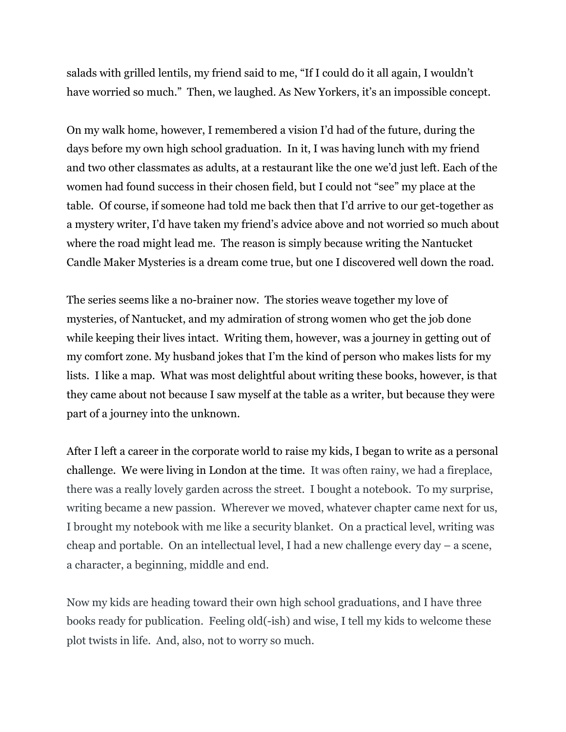salads with grilled lentils, my friend said to me, "If I could do it all again, I wouldn't have worried so much." Then, we laughed. As New Yorkers, it's an impossible concept.

On my walk home, however, I remembered a vision I'd had of the future, during the days before my own high school graduation. In it, I was having lunch with my friend and two other classmates as adults, at a restaurant like the one we'd just left. Each of the women had found success in their chosen field, but I could not "see" my place at the table. Of course, if someone had told me back then that I'd arrive to our get-together as a mystery writer, I'd have taken my friend's advice above and not worried so much about where the road might lead me. The reason is simply because writing the Nantucket Candle Maker Mysteries is a dream come true, but one I discovered well down the road.

The series seems like a no-brainer now. The stories weave together my love of mysteries, of Nantucket, and my admiration of strong women who get the job done while keeping their lives intact. Writing them, however, was a journey in getting out of my comfort zone. My husband jokes that I'm the kind of person who makes lists for my lists. I like a map. What was most delightful about writing these books, however, is that they came about not because I saw myself at the table as a writer, but because they were part of a journey into the unknown.

After I left a career in the corporate world to raise my kids, I began to write as a personal challenge. We were living in London at the time. It was often rainy, we had a fireplace, there was a really lovely garden across the street. I bought a notebook. To my surprise, writing became a new passion. Wherever we moved, whatever chapter came next for us, I brought my notebook with me like a security blanket. On a practical level, writing was cheap and portable. On an intellectual level, I had a new challenge every day – a scene, a character, a beginning, middle and end.

Now my kids are heading toward their own high school graduations, and I have three books ready for publication. Feeling old(-ish) and wise, I tell my kids to welcome these plot twists in life. And, also, not to worry so much.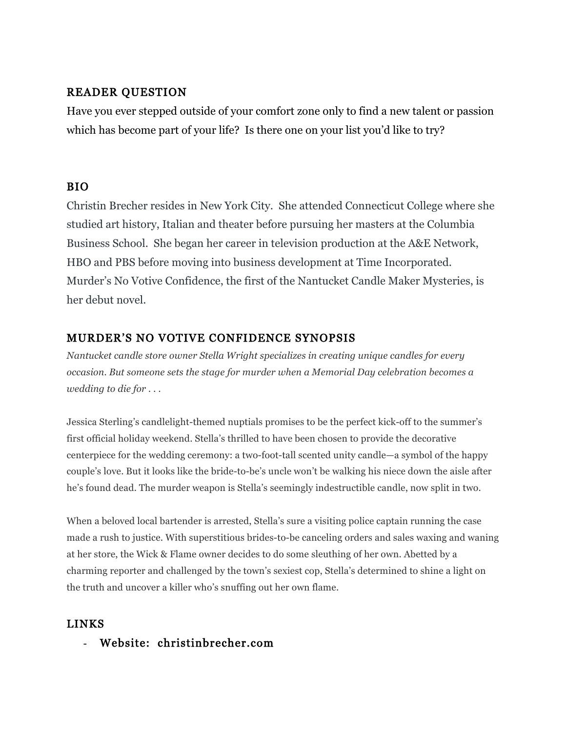### READER QUESTION

Have you ever stepped outside of your comfort zone only to find a new talent or passion which has become part of your life? Is there one on your list you'd like to try?

## BIO

Christin Brecher resides in New York City. She attended Connecticut College where she studied art history, Italian and theater before pursuing her masters at the Columbia Business School. She began her career in television production at the A&E Network, HBO and PBS before moving into business development at Time Incorporated. Murder's No Votive Confidence, the first of the Nantucket Candle Maker Mysteries, is her debut novel.

## MURDER'S NO VOTIVE CONFIDENCE SYNOPSIS

*Nantucket candle store owner Stella Wright specializes in creating unique candles for every occasion. But someone sets the stage for murder when a Memorial Day celebration becomes a wedding to die for . . .*

Jessica Sterling's candlelight-themed nuptials promises to be the perfect kick-off to the summer's first official holiday weekend. Stella's thrilled to have been chosen to provide the decorative centerpiece for the wedding ceremony: a two-foot-tall scented unity candle—a symbol of the happy couple's love. But it looks like the bride-to-be's uncle won't be walking his niece down the aisle after he's found dead. The murder weapon is Stella's seemingly indestructible candle, now split in two.

When a beloved local bartender is arrested, Stella's sure a visiting police captain running the case made a rush to justice. With superstitious brides-to-be canceling orders and sales waxing and waning at her store, the Wick & Flame owner decides to do some sleuthing of her own. Abetted by a charming reporter and challenged by the town's sexiest cop, Stella's determined to shine a light on the truth and uncover a killer who's snuffing out her own flame.

### LINKS

- Website: christinbrecher.com